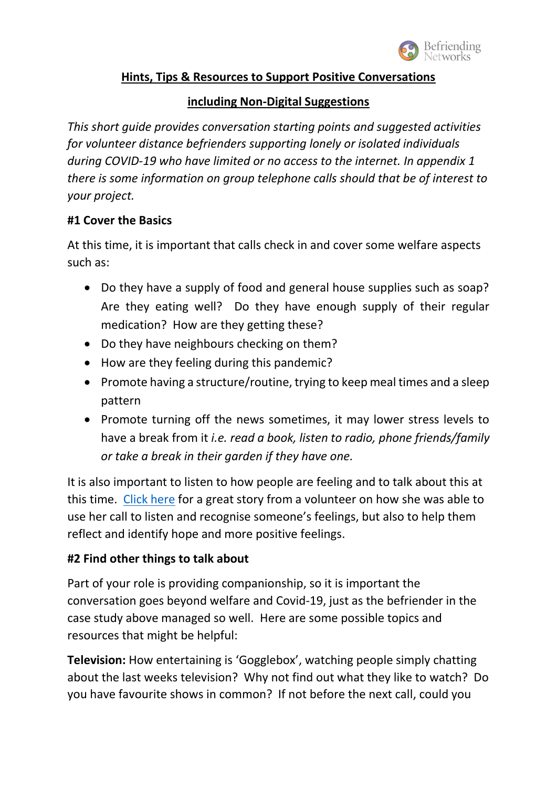

## **Hints, Tips & Resources to Support Positive Conversations**

# **including Non-Digital Suggestions**

*This short guide provides conversation starting points and suggested activities for volunteer distance befrienders supporting lonely or isolated individuals during COVID-19 who have limited or no access to the internet. In appendix 1 there is some information on group telephone calls should that be of interest to your project.*

# **#1 Cover the Basics**

At this time, it is important that calls check in and cover some welfare aspects such as:

- Do they have a supply of food and general house supplies such as soap? Are they eating well? Do they have enough supply of their regular medication? How are they getting these?
- Do they have neighbours checking on them?
- How are they feeling during this pandemic?
- Promote having a structure/routine, trying to keep meal times and a sleep pattern
- Promote turning off the news sometimes, it may lower stress levels to have a break from it *i.e. read a book, listen to radio, phone friends/family or take a break in their garden if they have one.*

It is also important to listen to how people are feeling and to talk about this at this time. [Click here](https://www.befriending.co.uk/news/befriending-and-bluebells-bring-hope-18042020) for a great story from a volunteer on how she was able to use her call to listen and recognise someone's feelings, but also to help them reflect and identify hope and more positive feelings.

# **#2 Find other things to talk about**

Part of your role is providing companionship, so it is important the conversation goes beyond welfare and Covid-19, just as the befriender in the case study above managed so well. Here are some possible topics and resources that might be helpful:

**Television:** How entertaining is 'Gogglebox', watching people simply chatting about the last weeks television? Why not find out what they like to watch? Do you have favourite shows in common? If not before the next call, could you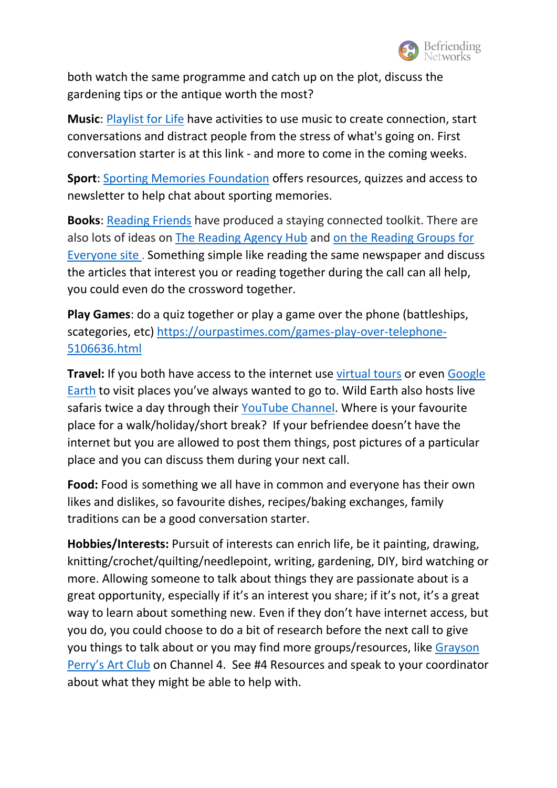

both watch the same programme and catch up on the plot, discuss the gardening tips or the antique worth the most?

**Music**: [Playlist for Life](https://www.playlistforlife.org.uk/wp-content/uploads/2020/03/Soundtrack-of-Your-Life-Conversation-Starters_A4.pdf) have activities to use music to create connection, start conversations and distract people from the stress of what's going on. First conversation starter is at this link - and more to come in the coming weeks.

**Sport**: [Sporting Memories Foundation](https://www.sportingmemoriesnetwork.com/Listing/Category/lets-talk-sport) offers resources, quizzes and access to newsletter to help chat about sporting memories.

**Books**: [Reading](https://readingfriends.org.uk/resources/?resourceTags=RFStayConnected) Friends have produced a staying connected toolkit. There are also lots of ideas on [The Reading Agency Hub](https://readingagency.org.uk/) and on the [Reading](https://readinggroups.org/news/keeping-your-reading-group-active-while-social-distancing) Groups for [Everyone](https://readinggroups.org/news/keeping-your-reading-group-active-while-social-distancing) site . Something simple like reading the same newspaper and discuss the articles that interest you or reading together during the call can all help, you could even do the crossword together.

**Play Games**: do a quiz together or play a game over the phone (battleships, scategories, etc) [https://ourpastimes.com/games-play-over-telephone-](https://ourpastimes.com/games-play-over-telephone-5106636.html)[5106636.html](https://ourpastimes.com/games-play-over-telephone-5106636.html)

**Travel:** If you both have access to the internet use [virtual tours](https://www.buzzfeed.com/annahaines/virtual-travel-experiences) or even [Google](https://www.google.co.uk/intl/en_uk/earth/)  [Earth](https://www.google.co.uk/intl/en_uk/earth/) to visit places you've always wanted to go to. Wild Earth also hosts live safaris twice a day through their [YouTube Channel.](https://www.youtube.com/channel/UCV6HJBZD_hZcIX9JVJ3dCXQ) Where is your favourite place for a walk/holiday/short break? If your befriendee doesn't have the internet but you are allowed to post them things, post pictures of a particular place and you can discuss them during your next call.

**Food:** Food is something we all have in common and everyone has their own likes and dislikes, so favourite dishes, recipes/baking exchanges, family traditions can be a good conversation starter.

**Hobbies/Interests:** Pursuit of interests can enrich life, be it painting, drawing, knitting/crochet/quilting/needlepoint, writing, gardening, DIY, bird watching or more. Allowing someone to talk about things they are passionate about is a great opportunity, especially if it's an interest you share; if it's not, it's a great way to learn about something new. Even if they don't have internet access, but you do, you could choose to do a bit of research before the next call to give you things to talk about or you may find more groups/resources, like [Grayson](https://www.channel4.com/press/news/graysons-art-club)  [Perry's Art Club](https://www.channel4.com/press/news/graysons-art-club) on Channel 4. See #4 Resources and speak to your coordinator about what they might be able to help with.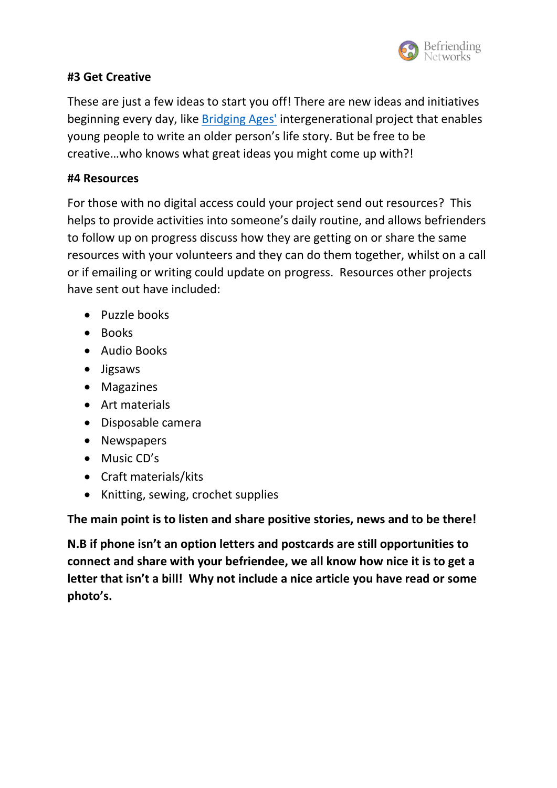

# **#3 Get Creative**

These are just a few ideas to start you off! There are new ideas and initiatives beginning every day, like [Bridging Ages'](http://bridgingages.co.uk/) intergenerational project that enables young people to write an older person's life story. But be free to be creative…who knows what great ideas you might come up with?!

## **#4 Resources**

For those with no digital access could your project send out resources? This helps to provide activities into someone's daily routine, and allows befrienders to follow up on progress discuss how they are getting on or share the same resources with your volunteers and they can do them together, whilst on a call or if emailing or writing could update on progress. Resources other projects have sent out have included:

- Puzzle books
- Books
- Audio Books
- Jigsaws
- Magazines
- Art materials
- Disposable camera
- Newspapers
- Music CD's
- Craft materials/kits
- Knitting, sewing, crochet supplies

**The main point is to listen and share positive stories, news and to be there!**

**N.B if phone isn't an option letters and postcards are still opportunities to connect and share with your befriendee, we all know how nice it is to get a letter that isn't a bill! Why not include a nice article you have read or some photo's.**